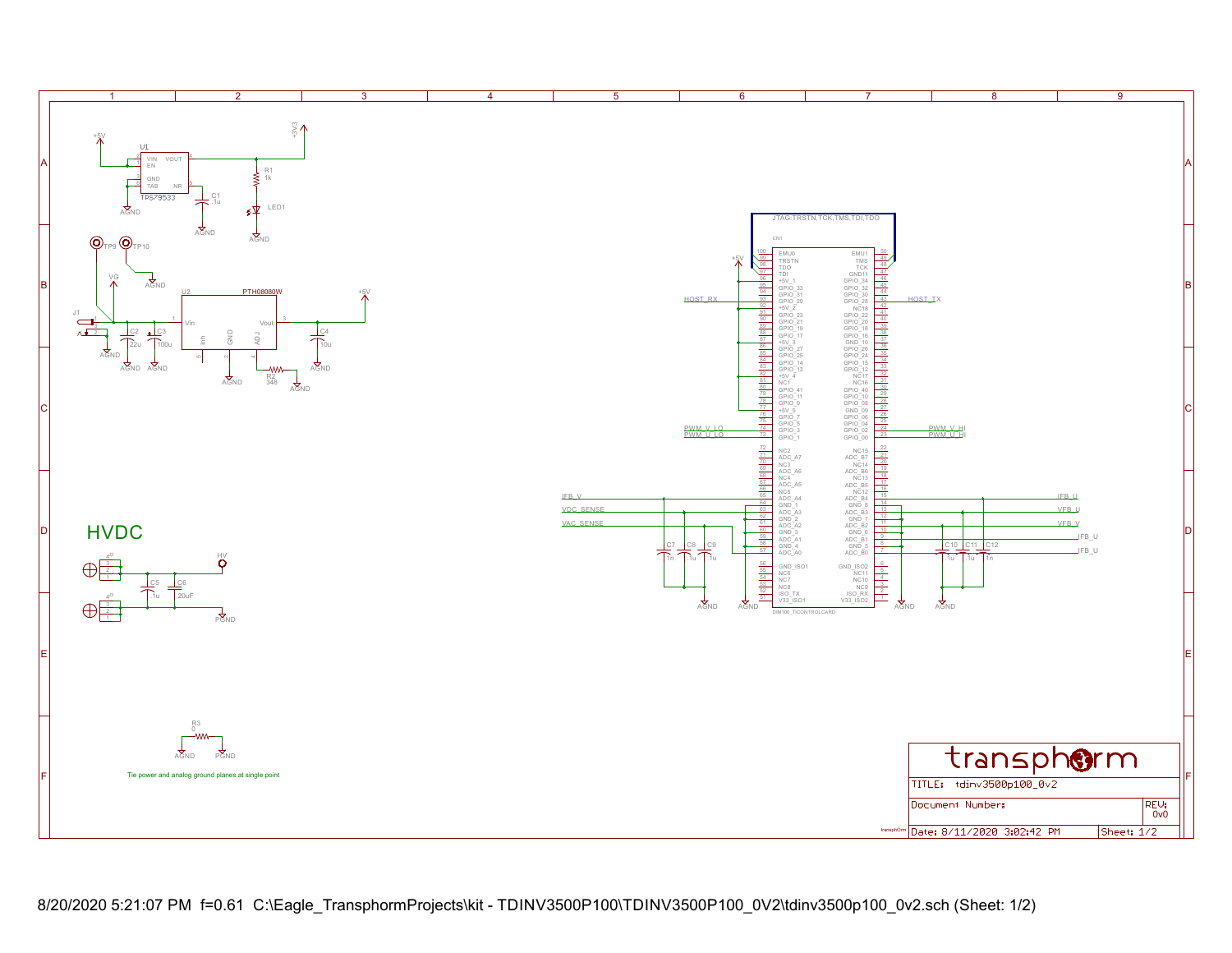